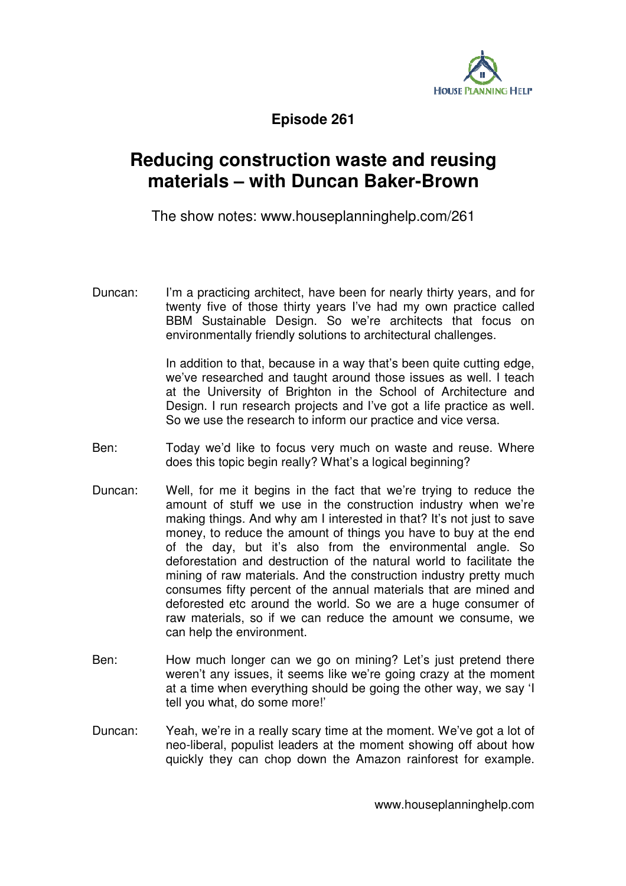

**Episode 261** 

## **Reducing construction waste and reusing materials – with Duncan Baker-Brown**

The show notes: www.houseplanninghelp.com/261

Duncan: I'm a practicing architect, have been for nearly thirty years, and for twenty five of those thirty years I've had my own practice called BBM Sustainable Design. So we're architects that focus on environmentally friendly solutions to architectural challenges.

> In addition to that, because in a way that's been quite cutting edge, we've researched and taught around those issues as well. I teach at the University of Brighton in the School of Architecture and Design. I run research projects and I've got a life practice as well. So we use the research to inform our practice and vice versa.

- Ben: Today we'd like to focus very much on waste and reuse. Where does this topic begin really? What's a logical beginning?
- Duncan: Well, for me it begins in the fact that we're trying to reduce the amount of stuff we use in the construction industry when we're making things. And why am I interested in that? It's not just to save money, to reduce the amount of things you have to buy at the end of the day, but it's also from the environmental angle. So deforestation and destruction of the natural world to facilitate the mining of raw materials. And the construction industry pretty much consumes fifty percent of the annual materials that are mined and deforested etc around the world. So we are a huge consumer of raw materials, so if we can reduce the amount we consume, we can help the environment.
- Ben: How much longer can we go on mining? Let's just pretend there weren't any issues, it seems like we're going crazy at the moment at a time when everything should be going the other way, we say 'I tell you what, do some more!'
- Duncan: Yeah, we're in a really scary time at the moment. We've got a lot of neo-liberal, populist leaders at the moment showing off about how quickly they can chop down the Amazon rainforest for example.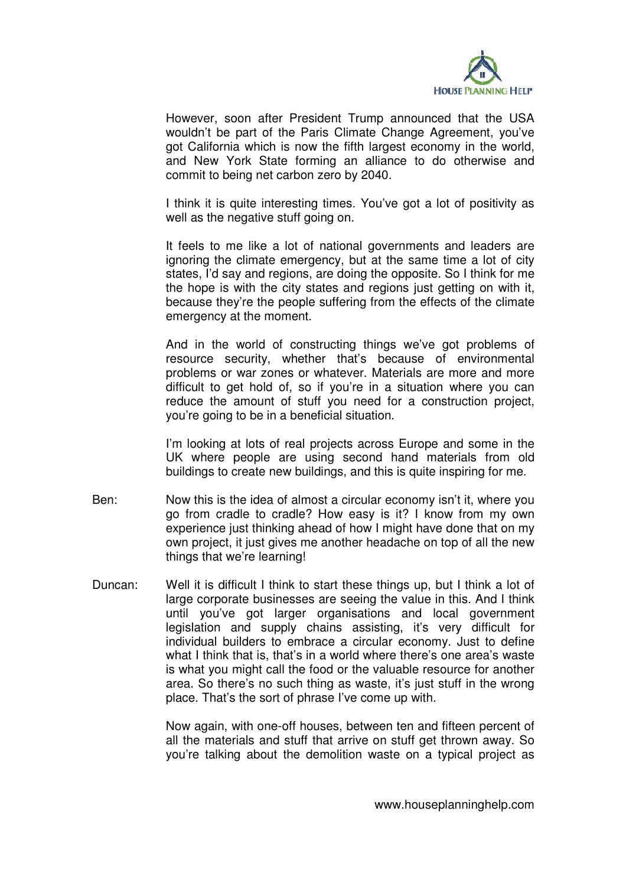

However, soon after President Trump announced that the USA wouldn't be part of the Paris Climate Change Agreement, you've got California which is now the fifth largest economy in the world, and New York State forming an alliance to do otherwise and commit to being net carbon zero by 2040.

 I think it is quite interesting times. You've got a lot of positivity as well as the negative stuff going on.

 It feels to me like a lot of national governments and leaders are ignoring the climate emergency, but at the same time a lot of city states, I'd say and regions, are doing the opposite. So I think for me the hope is with the city states and regions just getting on with it, because they're the people suffering from the effects of the climate emergency at the moment.

And in the world of constructing things we've got problems of resource security, whether that's because of environmental problems or war zones or whatever. Materials are more and more difficult to get hold of, so if you're in a situation where you can reduce the amount of stuff you need for a construction project, you're going to be in a beneficial situation.

I'm looking at lots of real projects across Europe and some in the UK where people are using second hand materials from old buildings to create new buildings, and this is quite inspiring for me.

- Ben: Now this is the idea of almost a circular economy isn't it, where you go from cradle to cradle? How easy is it? I know from my own experience just thinking ahead of how I might have done that on my own project, it just gives me another headache on top of all the new things that we're learning!
- Duncan: Well it is difficult I think to start these things up, but I think a lot of large corporate businesses are seeing the value in this. And I think until you've got larger organisations and local government legislation and supply chains assisting, it's very difficult for individual builders to embrace a circular economy. Just to define what I think that is, that's in a world where there's one area's waste is what you might call the food or the valuable resource for another area. So there's no such thing as waste, it's just stuff in the wrong place. That's the sort of phrase I've come up with.

Now again, with one-off houses, between ten and fifteen percent of all the materials and stuff that arrive on stuff get thrown away. So you're talking about the demolition waste on a typical project as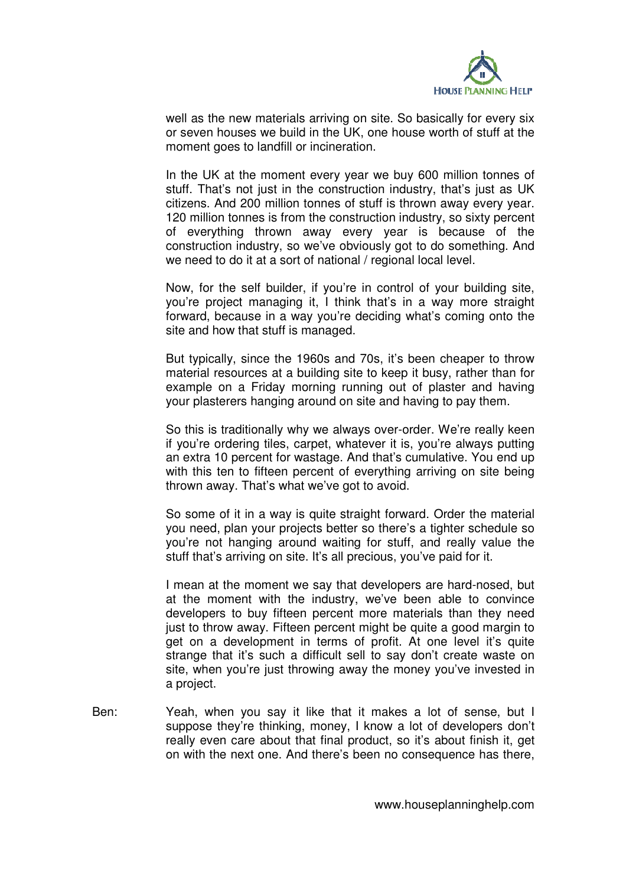

well as the new materials arriving on site. So basically for every six or seven houses we build in the UK, one house worth of stuff at the moment goes to landfill or incineration.

In the UK at the moment every year we buy 600 million tonnes of stuff. That's not just in the construction industry, that's just as UK citizens. And 200 million tonnes of stuff is thrown away every year. 120 million tonnes is from the construction industry, so sixty percent of everything thrown away every year is because of the construction industry, so we've obviously got to do something. And we need to do it at a sort of national / regional local level.

Now, for the self builder, if you're in control of your building site, you're project managing it, I think that's in a way more straight forward, because in a way you're deciding what's coming onto the site and how that stuff is managed.

But typically, since the 1960s and 70s, it's been cheaper to throw material resources at a building site to keep it busy, rather than for example on a Friday morning running out of plaster and having your plasterers hanging around on site and having to pay them.

So this is traditionally why we always over-order. We're really keen if you're ordering tiles, carpet, whatever it is, you're always putting an extra 10 percent for wastage. And that's cumulative. You end up with this ten to fifteen percent of everything arriving on site being thrown away. That's what we've got to avoid.

So some of it in a way is quite straight forward. Order the material you need, plan your projects better so there's a tighter schedule so you're not hanging around waiting for stuff, and really value the stuff that's arriving on site. It's all precious, you've paid for it.

I mean at the moment we say that developers are hard-nosed, but at the moment with the industry, we've been able to convince developers to buy fifteen percent more materials than they need just to throw away. Fifteen percent might be quite a good margin to get on a development in terms of profit. At one level it's quite strange that it's such a difficult sell to say don't create waste on site, when you're just throwing away the money you've invested in a project.

Ben: Yeah, when you say it like that it makes a lot of sense, but I suppose they're thinking, money, I know a lot of developers don't really even care about that final product, so it's about finish it, get on with the next one. And there's been no consequence has there,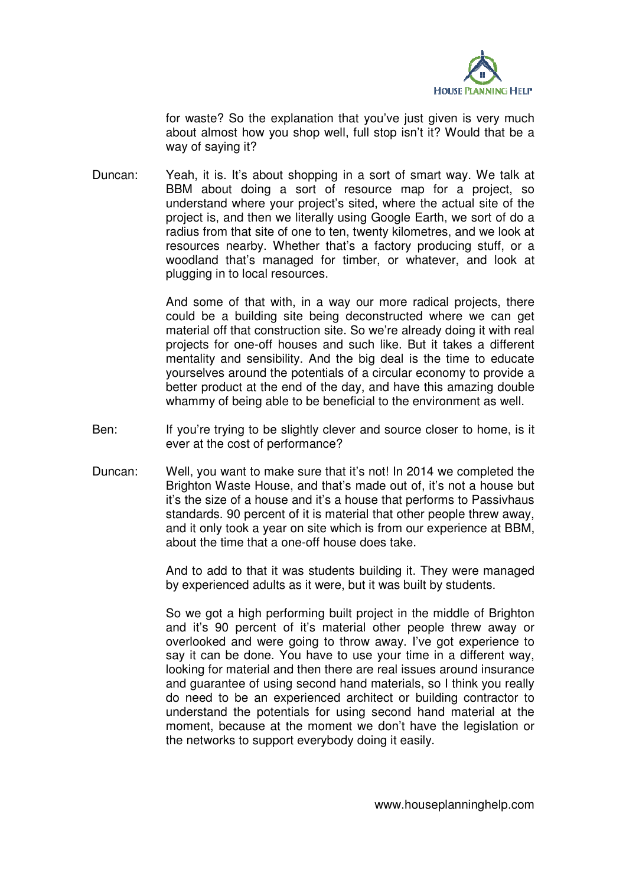

for waste? So the explanation that you've just given is very much about almost how you shop well, full stop isn't it? Would that be a way of saying it?

Duncan: Yeah, it is. It's about shopping in a sort of smart way. We talk at BBM about doing a sort of resource map for a project, so understand where your project's sited, where the actual site of the project is, and then we literally using Google Earth, we sort of do a radius from that site of one to ten, twenty kilometres, and we look at resources nearby. Whether that's a factory producing stuff, or a woodland that's managed for timber, or whatever, and look at plugging in to local resources.

> And some of that with, in a way our more radical projects, there could be a building site being deconstructed where we can get material off that construction site. So we're already doing it with real projects for one-off houses and such like. But it takes a different mentality and sensibility. And the big deal is the time to educate yourselves around the potentials of a circular economy to provide a better product at the end of the day, and have this amazing double whammy of being able to be beneficial to the environment as well.

- Ben: If you're trying to be slightly clever and source closer to home, is it ever at the cost of performance?
- Duncan: Well, you want to make sure that it's not! In 2014 we completed the Brighton Waste House, and that's made out of, it's not a house but it's the size of a house and it's a house that performs to Passivhaus standards. 90 percent of it is material that other people threw away, and it only took a year on site which is from our experience at BBM, about the time that a one-off house does take.

And to add to that it was students building it. They were managed by experienced adults as it were, but it was built by students.

So we got a high performing built project in the middle of Brighton and it's 90 percent of it's material other people threw away or overlooked and were going to throw away. I've got experience to say it can be done. You have to use your time in a different way, looking for material and then there are real issues around insurance and guarantee of using second hand materials, so I think you really do need to be an experienced architect or building contractor to understand the potentials for using second hand material at the moment, because at the moment we don't have the legislation or the networks to support everybody doing it easily.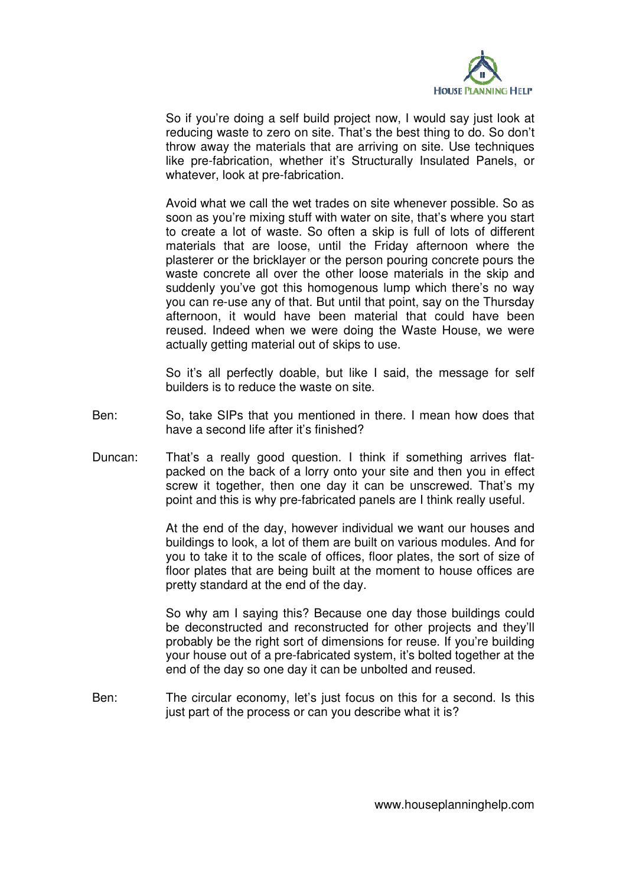

So if you're doing a self build project now, I would say just look at reducing waste to zero on site. That's the best thing to do. So don't throw away the materials that are arriving on site. Use techniques like pre-fabrication, whether it's Structurally Insulated Panels, or whatever, look at pre-fabrication.

Avoid what we call the wet trades on site whenever possible. So as soon as you're mixing stuff with water on site, that's where you start to create a lot of waste. So often a skip is full of lots of different materials that are loose, until the Friday afternoon where the plasterer or the bricklayer or the person pouring concrete pours the waste concrete all over the other loose materials in the skip and suddenly you've got this homogenous lump which there's no way you can re-use any of that. But until that point, say on the Thursday afternoon, it would have been material that could have been reused. Indeed when we were doing the Waste House, we were actually getting material out of skips to use.

So it's all perfectly doable, but like I said, the message for self builders is to reduce the waste on site.

- Ben: So, take SIPs that you mentioned in there. I mean how does that have a second life after it's finished?
- Duncan: That's a really good question. I think if something arrives flatpacked on the back of a lorry onto your site and then you in effect screw it together, then one day it can be unscrewed. That's my point and this is why pre-fabricated panels are I think really useful.

At the end of the day, however individual we want our houses and buildings to look, a lot of them are built on various modules. And for you to take it to the scale of offices, floor plates, the sort of size of floor plates that are being built at the moment to house offices are pretty standard at the end of the day.

So why am I saying this? Because one day those buildings could be deconstructed and reconstructed for other projects and they'll probably be the right sort of dimensions for reuse. If you're building your house out of a pre-fabricated system, it's bolted together at the end of the day so one day it can be unbolted and reused.

Ben: The circular economy, let's just focus on this for a second. Is this just part of the process or can you describe what it is?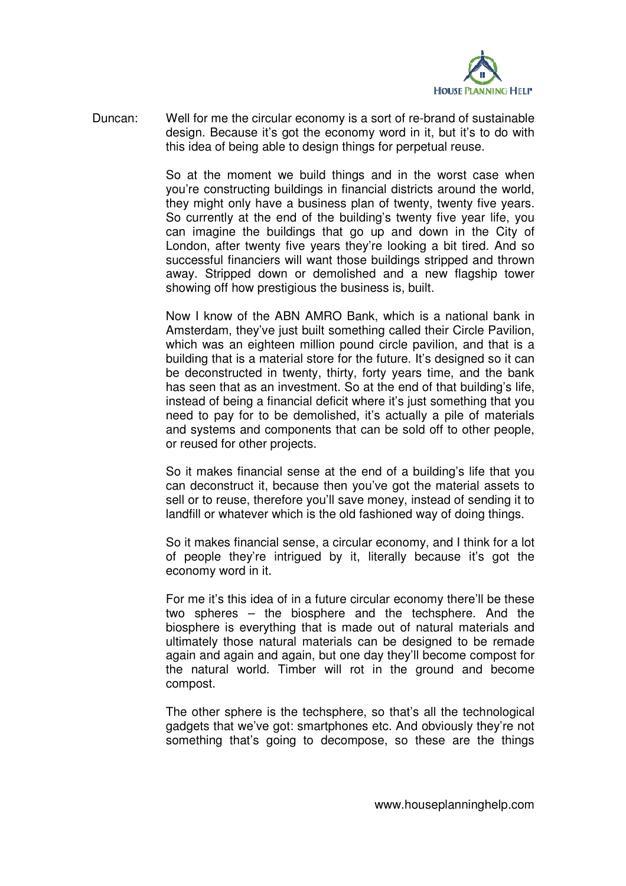

Duncan: Well for me the circular economy is a sort of re-brand of sustainable design. Because it's got the economy word in it, but it's to do with this idea of being able to design things for perpetual reuse.

> So at the moment we build things and in the worst case when you're constructing buildings in financial districts around the world, they might only have a business plan of twenty, twenty five years. So currently at the end of the building's twenty five year life, you can imagine the buildings that go up and down in the City of London, after twenty five years they're looking a bit tired. And so successful financiers will want those buildings stripped and thrown away. Stripped down or demolished and a new flagship tower showing off how prestigious the business is, built.

> Now I know of the ABN AMRO Bank, which is a national bank in Amsterdam, they've just built something called their Circle Pavilion, which was an eighteen million pound circle pavilion, and that is a building that is a material store for the future. It's designed so it can be deconstructed in twenty, thirty, forty years time, and the bank has seen that as an investment. So at the end of that building's life, instead of being a financial deficit where it's just something that you need to pay for to be demolished, it's actually a pile of materials and systems and components that can be sold off to other people, or reused for other projects.

> So it makes financial sense at the end of a building's life that you can deconstruct it, because then you've got the material assets to sell or to reuse, therefore you'll save money, instead of sending it to landfill or whatever which is the old fashioned way of doing things.

> So it makes financial sense, a circular economy, and I think for a lot of people they're intrigued by it, literally because it's got the economy word in it.

> For me it's this idea of in a future circular economy there'll be these two spheres – the biosphere and the techsphere. And the biosphere is everything that is made out of natural materials and ultimately those natural materials can be designed to be remade again and again and again, but one day they'll become compost for the natural world. Timber will rot in the ground and become compost.

> The other sphere is the techsphere, so that's all the technological gadgets that we've got: smartphones etc. And obviously they're not something that's going to decompose, so these are the things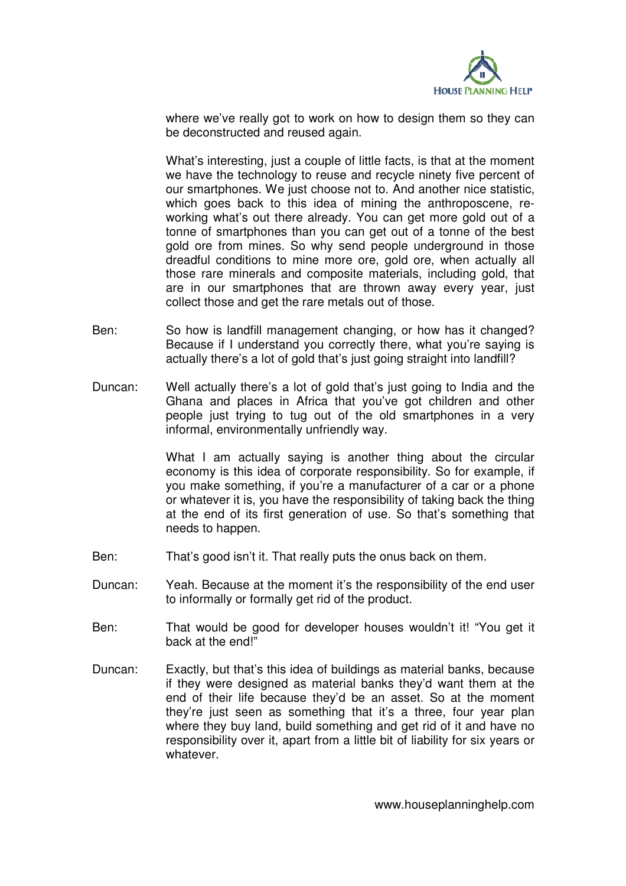

where we've really got to work on how to design them so they can be deconstructed and reused again.

What's interesting, just a couple of little facts, is that at the moment we have the technology to reuse and recycle ninety five percent of our smartphones. We just choose not to. And another nice statistic, which goes back to this idea of mining the anthroposcene, reworking what's out there already. You can get more gold out of a tonne of smartphones than you can get out of a tonne of the best gold ore from mines. So why send people underground in those dreadful conditions to mine more ore, gold ore, when actually all those rare minerals and composite materials, including gold, that are in our smartphones that are thrown away every year, just collect those and get the rare metals out of those.

- Ben: So how is landfill management changing, or how has it changed? Because if I understand you correctly there, what you're saying is actually there's a lot of gold that's just going straight into landfill?
- Duncan: Well actually there's a lot of gold that's just going to India and the Ghana and places in Africa that you've got children and other people just trying to tug out of the old smartphones in a very informal, environmentally unfriendly way.

What I am actually saving is another thing about the circular economy is this idea of corporate responsibility. So for example, if you make something, if you're a manufacturer of a car or a phone or whatever it is, you have the responsibility of taking back the thing at the end of its first generation of use. So that's something that needs to happen.

- Ben: That's good isn't it. That really puts the onus back on them.
- Duncan: Yeah. Because at the moment it's the responsibility of the end user to informally or formally get rid of the product.
- Ben: That would be good for developer houses wouldn't it! "You get it back at the end!"
- Duncan: Exactly, but that's this idea of buildings as material banks, because if they were designed as material banks they'd want them at the end of their life because they'd be an asset. So at the moment they're just seen as something that it's a three, four year plan where they buy land, build something and get rid of it and have no responsibility over it, apart from a little bit of liability for six years or whatever.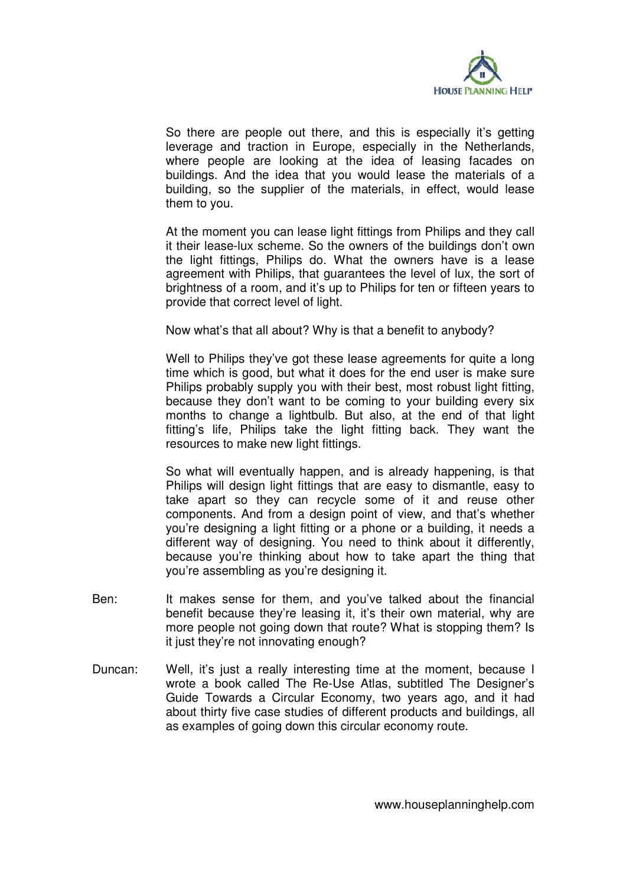

So there are people out there, and this is especially it's getting leverage and traction in Europe, especially in the Netherlands, where people are looking at the idea of leasing facades on buildings. And the idea that you would lease the materials of a building, so the supplier of the materials, in effect, would lease them to you.

At the moment you can lease light fittings from Philips and they call it their lease-lux scheme. So the owners of the buildings don't own the light fittings, Philips do. What the owners have is a lease agreement with Philips, that guarantees the level of lux, the sort of brightness of a room, and it's up to Philips for ten or fifteen years to provide that correct level of light.

Now what's that all about? Why is that a benefit to anybody?

Well to Philips they've got these lease agreements for quite a long time which is good, but what it does for the end user is make sure Philips probably supply you with their best, most robust light fitting, because they don't want to be coming to your building every six months to change a lightbulb. But also, at the end of that light fitting's life, Philips take the light fitting back. They want the resources to make new light fittings.

So what will eventually happen, and is already happening, is that Philips will design light fittings that are easy to dismantle, easy to take apart so they can recycle some of it and reuse other components. And from a design point of view, and that's whether you're designing a light fitting or a phone or a building, it needs a different way of designing. You need to think about it differently, because you're thinking about how to take apart the thing that you're assembling as you're designing it.

- Ben: It makes sense for them, and you've talked about the financial benefit because they're leasing it, it's their own material, why are more people not going down that route? What is stopping them? Is it just they're not innovating enough?
- Duncan: Well, it's just a really interesting time at the moment, because I wrote a book called The Re-Use Atlas, subtitled The Designer's Guide Towards a Circular Economy, two years ago, and it had about thirty five case studies of different products and buildings, all as examples of going down this circular economy route.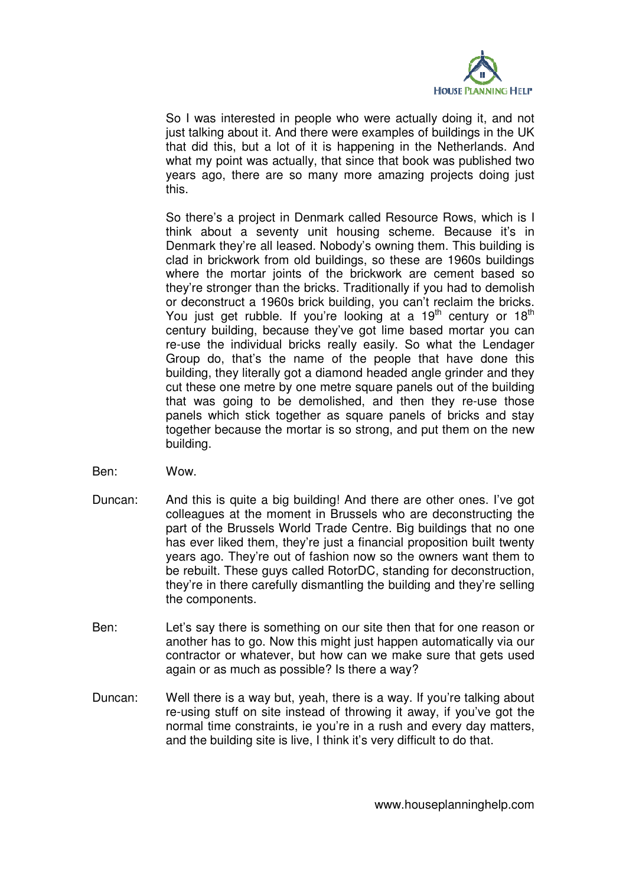

So I was interested in people who were actually doing it, and not just talking about it. And there were examples of buildings in the UK that did this, but a lot of it is happening in the Netherlands. And what my point was actually, that since that book was published two years ago, there are so many more amazing projects doing just this.

So there's a project in Denmark called Resource Rows, which is I think about a seventy unit housing scheme. Because it's in Denmark they're all leased. Nobody's owning them. This building is clad in brickwork from old buildings, so these are 1960s buildings where the mortar joints of the brickwork are cement based so they're stronger than the bricks. Traditionally if you had to demolish or deconstruct a 1960s brick building, you can't reclaim the bricks. You just get rubble. If you're looking at a  $19<sup>th</sup>$  century or  $18<sup>th</sup>$ century building, because they've got lime based mortar you can re-use the individual bricks really easily. So what the Lendager Group do, that's the name of the people that have done this building, they literally got a diamond headed angle grinder and they cut these one metre by one metre square panels out of the building that was going to be demolished, and then they re-use those panels which stick together as square panels of bricks and stay together because the mortar is so strong, and put them on the new building.

- Ben: Wow.
- Duncan: And this is quite a big building! And there are other ones. I've got colleagues at the moment in Brussels who are deconstructing the part of the Brussels World Trade Centre. Big buildings that no one has ever liked them, they're just a financial proposition built twenty years ago. They're out of fashion now so the owners want them to be rebuilt. These guys called RotorDC, standing for deconstruction, they're in there carefully dismantling the building and they're selling the components.
- Ben: Let's say there is something on our site then that for one reason or another has to go. Now this might just happen automatically via our contractor or whatever, but how can we make sure that gets used again or as much as possible? Is there a way?
- Duncan: Well there is a way but, yeah, there is a way. If you're talking about re-using stuff on site instead of throwing it away, if you've got the normal time constraints, ie you're in a rush and every day matters, and the building site is live, I think it's very difficult to do that.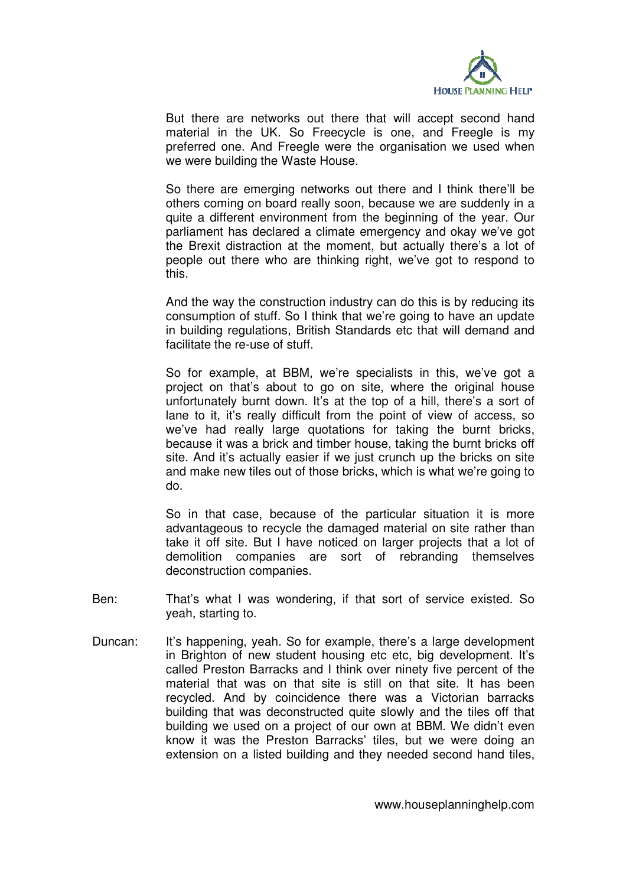

But there are networks out there that will accept second hand material in the UK. So Freecycle is one, and Freegle is my preferred one. And Freegle were the organisation we used when we were building the Waste House.

So there are emerging networks out there and I think there'll be others coming on board really soon, because we are suddenly in a quite a different environment from the beginning of the year. Our parliament has declared a climate emergency and okay we've got the Brexit distraction at the moment, but actually there's a lot of people out there who are thinking right, we've got to respond to this.

And the way the construction industry can do this is by reducing its consumption of stuff. So I think that we're going to have an update in building regulations, British Standards etc that will demand and facilitate the re-use of stuff.

So for example, at BBM, we're specialists in this, we've got a project on that's about to go on site, where the original house unfortunately burnt down. It's at the top of a hill, there's a sort of lane to it, it's really difficult from the point of view of access, so we've had really large quotations for taking the burnt bricks, because it was a brick and timber house, taking the burnt bricks off site. And it's actually easier if we just crunch up the bricks on site and make new tiles out of those bricks, which is what we're going to do.

So in that case, because of the particular situation it is more advantageous to recycle the damaged material on site rather than take it off site. But I have noticed on larger projects that a lot of demolition companies are sort of rebranding themselves deconstruction companies.

- Ben: That's what I was wondering, if that sort of service existed. So yeah, starting to.
- Duncan: It's happening, yeah. So for example, there's a large development in Brighton of new student housing etc etc, big development. It's called Preston Barracks and I think over ninety five percent of the material that was on that site is still on that site. It has been recycled. And by coincidence there was a Victorian barracks building that was deconstructed quite slowly and the tiles off that building we used on a project of our own at BBM. We didn't even know it was the Preston Barracks' tiles, but we were doing an extension on a listed building and they needed second hand tiles,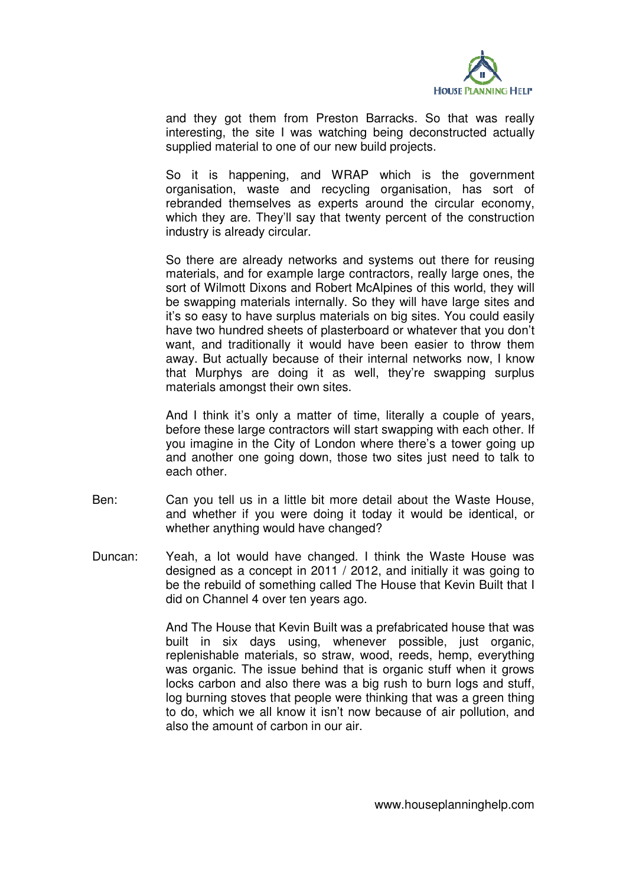

and they got them from Preston Barracks. So that was really interesting, the site I was watching being deconstructed actually supplied material to one of our new build projects.

So it is happening, and WRAP which is the government organisation, waste and recycling organisation, has sort of rebranded themselves as experts around the circular economy, which they are. They'll say that twenty percent of the construction industry is already circular.

So there are already networks and systems out there for reusing materials, and for example large contractors, really large ones, the sort of Wilmott Dixons and Robert McAlpines of this world, they will be swapping materials internally. So they will have large sites and it's so easy to have surplus materials on big sites. You could easily have two hundred sheets of plasterboard or whatever that you don't want, and traditionally it would have been easier to throw them away. But actually because of their internal networks now, I know that Murphys are doing it as well, they're swapping surplus materials amongst their own sites.

And I think it's only a matter of time, literally a couple of years, before these large contractors will start swapping with each other. If you imagine in the City of London where there's a tower going up and another one going down, those two sites just need to talk to each other.

- Ben: Can you tell us in a little bit more detail about the Waste House, and whether if you were doing it today it would be identical, or whether anything would have changed?
- Duncan: Yeah, a lot would have changed. I think the Waste House was designed as a concept in 2011 / 2012, and initially it was going to be the rebuild of something called The House that Kevin Built that I did on Channel 4 over ten years ago.

And The House that Kevin Built was a prefabricated house that was built in six days using, whenever possible, just organic, replenishable materials, so straw, wood, reeds, hemp, everything was organic. The issue behind that is organic stuff when it grows locks carbon and also there was a big rush to burn logs and stuff, log burning stoves that people were thinking that was a green thing to do, which we all know it isn't now because of air pollution, and also the amount of carbon in our air.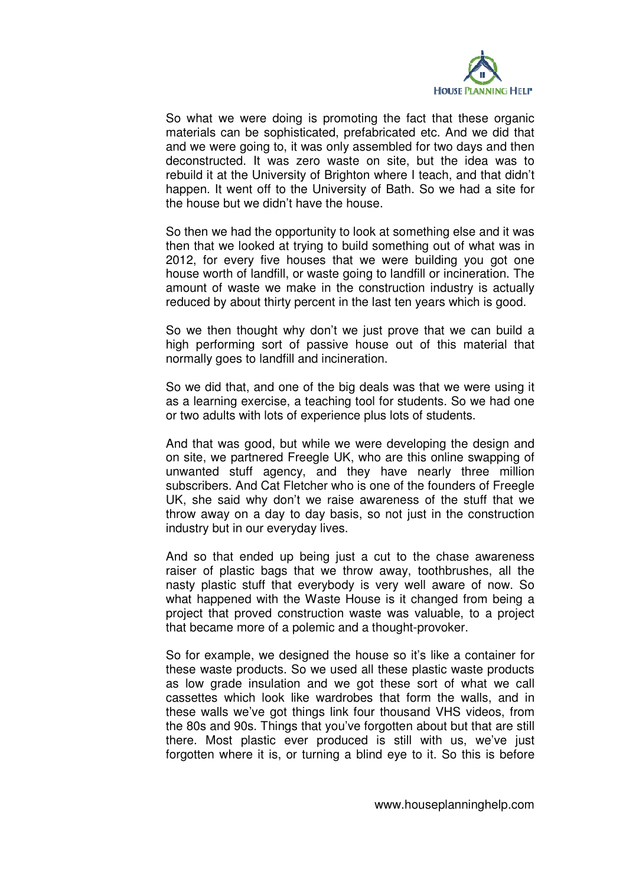

So what we were doing is promoting the fact that these organic materials can be sophisticated, prefabricated etc. And we did that and we were going to, it was only assembled for two days and then deconstructed. It was zero waste on site, but the idea was to rebuild it at the University of Brighton where I teach, and that didn't happen. It went off to the University of Bath. So we had a site for the house but we didn't have the house.

So then we had the opportunity to look at something else and it was then that we looked at trying to build something out of what was in 2012, for every five houses that we were building you got one house worth of landfill, or waste going to landfill or incineration. The amount of waste we make in the construction industry is actually reduced by about thirty percent in the last ten years which is good.

So we then thought why don't we just prove that we can build a high performing sort of passive house out of this material that normally goes to landfill and incineration.

So we did that, and one of the big deals was that we were using it as a learning exercise, a teaching tool for students. So we had one or two adults with lots of experience plus lots of students.

And that was good, but while we were developing the design and on site, we partnered Freegle UK, who are this online swapping of unwanted stuff agency, and they have nearly three million subscribers. And Cat Fletcher who is one of the founders of Freegle UK, she said why don't we raise awareness of the stuff that we throw away on a day to day basis, so not just in the construction industry but in our everyday lives.

And so that ended up being just a cut to the chase awareness raiser of plastic bags that we throw away, toothbrushes, all the nasty plastic stuff that everybody is very well aware of now. So what happened with the Waste House is it changed from being a project that proved construction waste was valuable, to a project that became more of a polemic and a thought-provoker.

So for example, we designed the house so it's like a container for these waste products. So we used all these plastic waste products as low grade insulation and we got these sort of what we call cassettes which look like wardrobes that form the walls, and in these walls we've got things link four thousand VHS videos, from the 80s and 90s. Things that you've forgotten about but that are still there. Most plastic ever produced is still with us, we've just forgotten where it is, or turning a blind eye to it. So this is before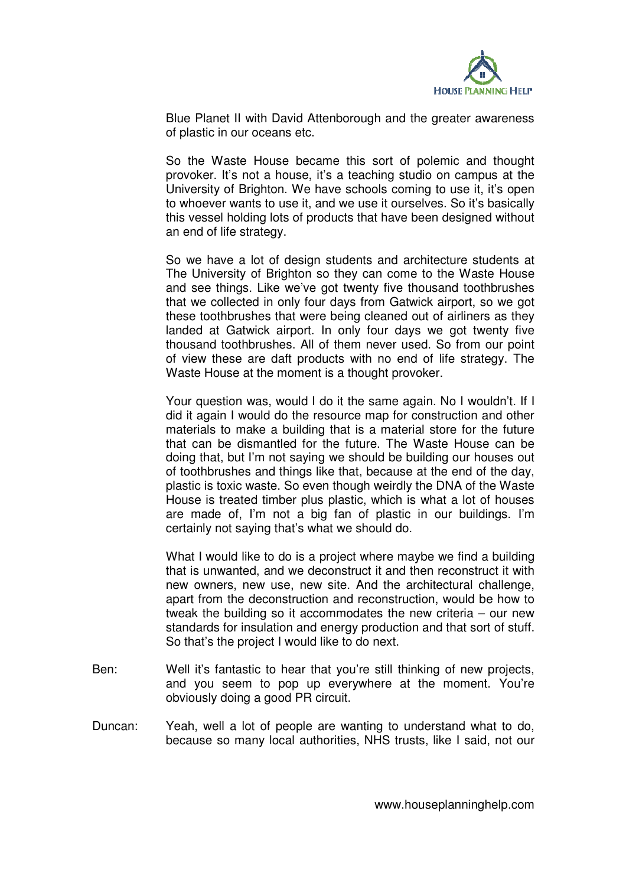

Blue Planet II with David Attenborough and the greater awareness of plastic in our oceans etc.

So the Waste House became this sort of polemic and thought provoker. It's not a house, it's a teaching studio on campus at the University of Brighton. We have schools coming to use it, it's open to whoever wants to use it, and we use it ourselves. So it's basically this vessel holding lots of products that have been designed without an end of life strategy.

So we have a lot of design students and architecture students at The University of Brighton so they can come to the Waste House and see things. Like we've got twenty five thousand toothbrushes that we collected in only four days from Gatwick airport, so we got these toothbrushes that were being cleaned out of airliners as they landed at Gatwick airport. In only four days we got twenty five thousand toothbrushes. All of them never used. So from our point of view these are daft products with no end of life strategy. The Waste House at the moment is a thought provoker.

Your question was, would I do it the same again. No I wouldn't. If I did it again I would do the resource map for construction and other materials to make a building that is a material store for the future that can be dismantled for the future. The Waste House can be doing that, but I'm not saying we should be building our houses out of toothbrushes and things like that, because at the end of the day, plastic is toxic waste. So even though weirdly the DNA of the Waste House is treated timber plus plastic, which is what a lot of houses are made of, I'm not a big fan of plastic in our buildings. I'm certainly not saying that's what we should do.

What I would like to do is a project where maybe we find a building that is unwanted, and we deconstruct it and then reconstruct it with new owners, new use, new site. And the architectural challenge, apart from the deconstruction and reconstruction, would be how to tweak the building so it accommodates the new criteria – our new standards for insulation and energy production and that sort of stuff. So that's the project I would like to do next.

- Ben: Well it's fantastic to hear that you're still thinking of new projects, and you seem to pop up everywhere at the moment. You're obviously doing a good PR circuit.
- Duncan: Yeah, well a lot of people are wanting to understand what to do, because so many local authorities, NHS trusts, like I said, not our